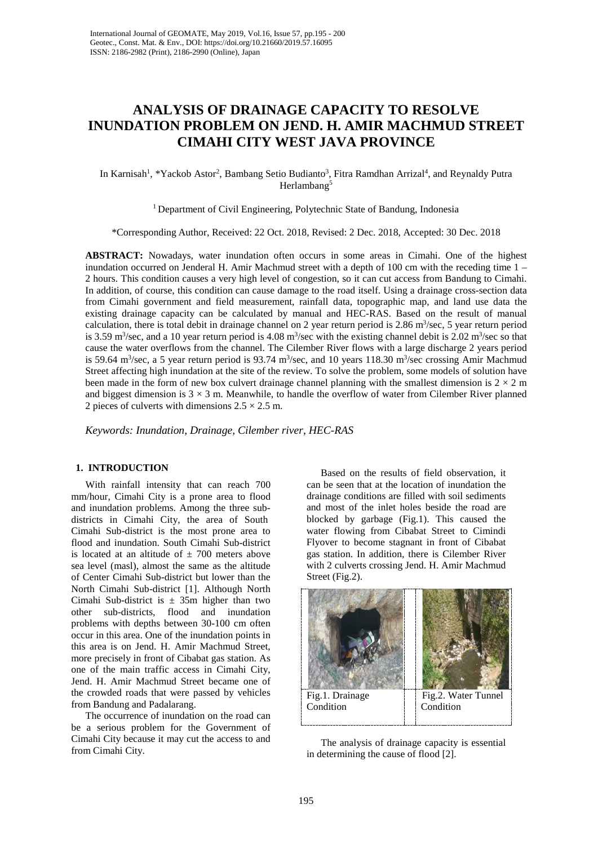# **ANALYSIS OF DRAINAGE CAPACITY TO RESOLVE INUNDATION PROBLEM ON JEND. H. AMIR MACHMUD STREET CIMAHI CITY WEST JAVA PROVINCE**

In Karnisah<sup>1</sup>, \*Yackob Astor<sup>2</sup>, Bambang Setio Budianto<sup>3</sup>, Fitra Ramdhan Arrizal<sup>4</sup>, and Reynaldy Putra Herlambang<sup>5</sup>

<sup>1</sup> Department of Civil Engineering, Polytechnic State of Bandung, Indonesia

\*Corresponding Author, Received: 22 Oct. 2018, Revised: 2 Dec. 2018, Accepted: 30 Dec. 2018

**ABSTRACT:** Nowadays, water inundation often occurs in some areas in Cimahi. One of the highest inundation occurred on Jenderal H. Amir Machmud street with a depth of 100 cm with the receding time 1 – 2 hours. This condition causes a very high level of congestion, so it can cut access from Bandung to Cimahi. In addition, of course, this condition can cause damage to the road itself. Using a drainage cross-section data from Cimahi government and field measurement, rainfall data, topographic map, and land use data the existing drainage capacity can be calculated by manual and HEC-RAS. Based on the result of manual calculation, there is total debit in drainage channel on 2 year return period is  $2.86 \text{ m}^3/\text{sec}$ , 5 year return period is 3.59 m<sup>3</sup>/sec, and a 10 year return period is 4.08 m<sup>3</sup>/sec with the existing channel debit is 2.02 m<sup>3</sup>/sec so that cause the water overflows from the channel. The Cilember River flows with a large discharge 2 years period is 59.64 m<sup>3</sup>/sec, a 5 year return period is 93.74 m<sup>3</sup>/sec, and 10 years 118.30 m<sup>3</sup>/sec crossing Amir Machmud Street affecting high inundation at the site of the review. To solve the problem, some models of solution have been made in the form of new box culvert drainage channel planning with the smallest dimension is  $2 \times 2$  m and biggest dimension is  $3 \times 3$  m. Meanwhile, to handle the overflow of water from Cilember River planned 2 pieces of culverts with dimensions  $2.5 \times 2.5$  m.

*Keywords: Inundation, Drainage, Cilember river, HEC-RAS*

### **1. INTRODUCTION**

With rainfall intensity that can reach 700 mm/hour, Cimahi City is a prone area to flood and inundation problems. Among the three subdistricts in Cimahi City, the area of South Cimahi Sub-district is the most prone area to flood and inundation. South Cimahi Sub-district is located at an altitude of  $\pm$  700 meters above sea level (masl), almost the same as the altitude of Center Cimahi Sub-district but lower than the North Cimahi Sub-district [1]. Although North Cimahi Sub-district is  $\pm$  35m higher than two other sub-districts, flood and inundation problems with depths between 30-100 cm often occur in this area. One of the inundation points in this area is on Jend. H. Amir Machmud Street, more precisely in front of Cibabat gas station. As one of the main traffic access in Cimahi City, Jend. H. Amir Machmud Street became one of the crowded roads that were passed by vehicles from Bandung and Padalarang.

The occurrence of inundation on the road can be a serious problem for the Government of Cimahi City because it may cut the access to and from Cimahi City.

Based on the results of field observation, it can be seen that at the location of inundation the drainage conditions are filled with soil sediments and most of the inlet holes beside the road are blocked by garbage (Fig.1). This caused the water flowing from Cibabat Street to Cimindi Flyover to become stagnant in front of Cibabat gas station. In addition, there is Cilember River with 2 culverts crossing Jend. H. Amir Machmud Street (Fig.2).



The analysis of drainage capacity is essential in determining the cause of flood [2].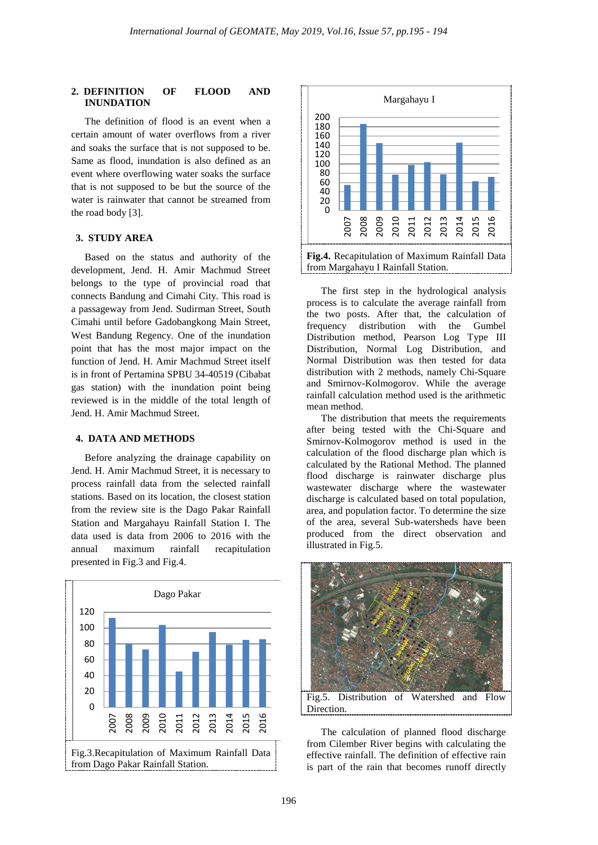#### **2. DEFINITION OF FLOOD AND INUNDATION**

The definition of flood is an event when a certain amount of water overflows from a river and soaks the surface that is not supposed to be. Same as flood, inundation is also defined as an event where overflowing water soaks the surface that is not supposed to be but the source of the water is rainwater that cannot be streamed from the road body [3].

### **3. STUDY AREA**

Based on the status and authority of the development, Jend. H. Amir Machmud Street belongs to the type of provincial road that connects Bandung and Cimahi City. This road is a passageway from Jend. Sudirman Street, South Cimahi until before Gadobangkong Main Street, West Bandung Regency. One of the inundation point that has the most major impact on the function of Jend. H. Amir Machmud Street itself is in front of Pertamina SPBU 34-40519 (Cibabat gas station) with the inundation point being reviewed is in the middle of the total length of Jend. H. Amir Machmud Street.

### **4. DATA AND METHODS**

Before analyzing the drainage capability on Jend. H. Amir Machmud Street, it is necessary to process rainfall data from the selected rainfall stations. Based on its location, the closest station from the review site is the Dago Pakar Rainfall Station and Margahayu Rainfall Station I. The data used is data from 2006 to 2016 with the annual maximum rainfall recapitulation presented in Fig.3 and Fig.4.





The first step in the hydrological analysis process is to calculate the average rainfall from the two posts. After that, the calculation of frequency distribution with the Gumbel Distribution method, Pearson Log Type III Distribution, Normal Log Distribution, and Normal Distribution was then tested for data distribution with 2 methods, namely Chi-Square and Smirnov-Kolmogorov. While the average rainfall calculation method used is the arithmetic mean method.

The distribution that meets the requirements after being tested with the Chi-Square and Smirnov-Kolmogorov method is used in the calculation of the flood discharge plan which is calculated by the Rational Method. The planned flood discharge is rainwater discharge plus wastewater discharge where the wastewater discharge is calculated based on total population, area, and population factor. To determine the size of the area, several Sub-watersheds have been produced from the direct observation and illustrated in Fig.5.



The calculation of planned flood discharge from Cilember River begins with calculating the effective rainfall. The definition of effective rain is part of the rain that becomes runoff directly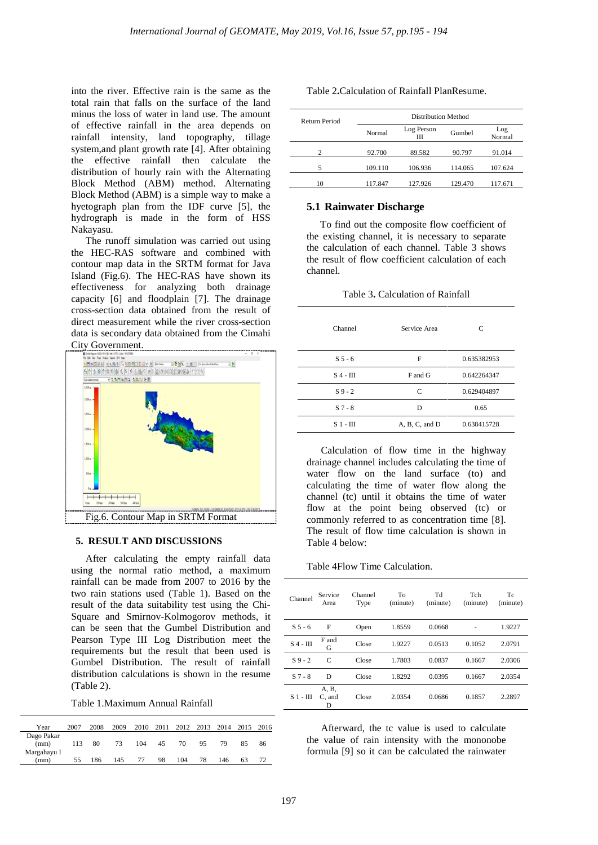into the river. Effective rain is the same as the total rain that falls on the surface of the land minus the loss of water in land use. The amount of effective rainfall in the area depends on rainfall intensity, land topography, tillage system,and plant growth rate [4]. After obtaining the effective rainfall then calculate the distribution of hourly rain with the Alternating Block Method (ABM) method. Alternating Block Method (ABM) is a simple way to make a hyetograph plan from the IDF curve [5], the hydrograph is made in the form of HSS Nakayasu.

The runoff simulation was carried out using the HEC-RAS software and combined with contour map data in the SRTM format for Java Island (Fig.6). The HEC-RAS have shown its effectiveness for analyzing both drainage capacity [6] and floodplain [7]. The drainage cross-section data obtained from the result of direct measurement while the river cross-section data is secondary data obtained from the Cimahi City Government.



#### **5. RESULT AND DISCUSSIONS**

After calculating the empty rainfall data using the normal ratio method, a maximum rainfall can be made from 2007 to 2016 by the two rain stations used (Table 1). Based on the result of the data suitability test using the Chi-Square and Smirnov-Kolmogorov methods, it can be seen that the Gumbel Distribution and Pearson Type III Log Distribution meet the requirements but the result that been used is Gumbel Distribution. The result of rainfall distribution calculations is shown in the resume (Table 2).

Table 1.Maximum Annual Rainfall

| Year                              | 2007 | 2008 | 2009 | 2010 | 2011 | 2012 | 2013 | 2014 | 2015 2016 |    |
|-----------------------------------|------|------|------|------|------|------|------|------|-----------|----|
| Dago Pakar<br>(mm)<br>Margahayu I | 113  | 80   | 73   | 104  | 45   | 70   | 95   | 79   | 85        | 86 |
| (mm)                              | 55   | 186  | 145  | 77   | 98   | 104  | 78   | 146  | 63        | 72 |

| Table 2. Calculation of Rainfall PlanResume. |
|----------------------------------------------|
|----------------------------------------------|

|                | Return Period |         | Distribution Method |         |               |  |  |  |  |
|----------------|---------------|---------|---------------------|---------|---------------|--|--|--|--|
|                |               |         | Log Person<br>Ш     | Gumbel  | Log<br>Normal |  |  |  |  |
| $\mathfrak{D}$ |               | 92.700  | 89.582              | 90.797  | 91.014        |  |  |  |  |
| 5              |               | 109.110 | 106.936             | 114.065 | 107.624       |  |  |  |  |
| 10             |               | 117.847 | 127.926             | 129.470 | 117.671       |  |  |  |  |

#### **5.1 Rainwater Discharge**

To find out the composite flow coefficient of the existing channel, it is necessary to separate the calculation of each channel. Table 3 shows the result of flow coefficient calculation of each channel.

| Channel       | Service Area   | C           |
|---------------|----------------|-------------|
| $S5-6$        | F              | 0.635382953 |
| $S$ 4 - $III$ | F and G        | 0.642264347 |
| $S_9 - 2$     | C              | 0.629404897 |
| $S7 - 8$      | D              | 0.65        |
| S 1 - III     | A, B, C, and D | 0.638415728 |

Table 3**.** Calculation of Rainfall

Calculation of flow time in the highway drainage channel includes calculating the time of water flow on the land surface (to) and calculating the time of water flow along the channel (tc) until it obtains the time of water flow at the point being observed (tc) or commonly referred to as concentration time [8]. The result of flow time calculation is shown in Table 4 below:

Table 4Flow Time Calculation.

| Channel       | Service<br>Area      | Channel<br>Type | To<br>(minute) | Td<br>(minute) | Tch<br>(minute) | Tc<br>(minute) |
|---------------|----------------------|-----------------|----------------|----------------|-----------------|----------------|
| $S5-6$        | F                    | Open            | 1.8559         | 0.0668         |                 | 1.9227         |
| $S$ 4 - $III$ | F and<br>G           | Close           | 1.9227         | 0.0513         | 0.1052          | 2.0791         |
| $S_9 - 2$     | $\mathcal{C}$        | Close           | 1.7803         | 0.0837         | 0.1667          | 2.0306         |
| $S7-8$        | D                    | Close           | 1.8292         | 0.0395         | 0.1667          | 2.0354         |
| $S_1 - III$   | A, B,<br>C, and<br>D | Close           | 2.0354         | 0.0686         | 0.1857          | 2.2897         |

Afterward, the tc value is used to calculate the value of rain intensity with the mononobe formula [9] so it can be calculated the rainwater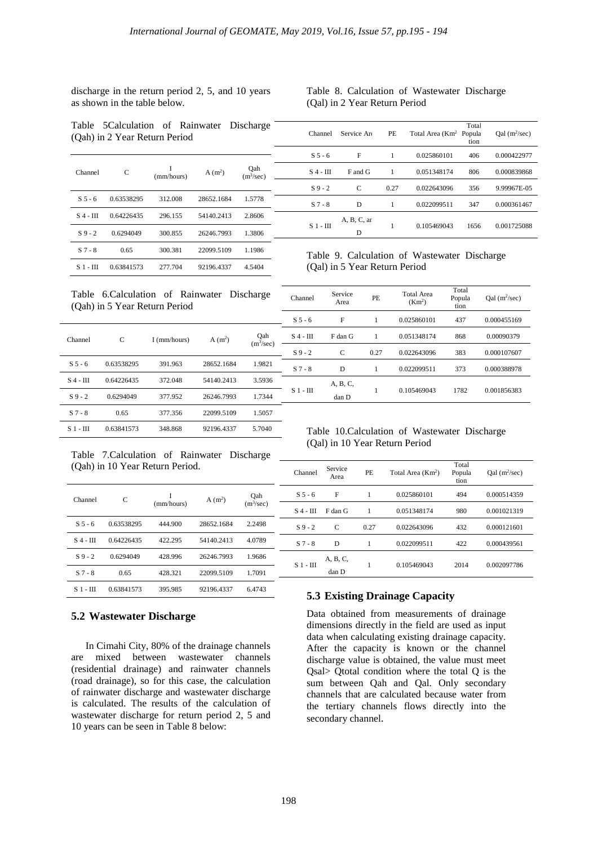discharge in the return period 2, 5, and 10 years as shown in the table below.

### Table 8. Calculation of Wastewater Discharge (Qal) in 2 Year Return Period

Total tion

 $Qal$  (m<sup>2</sup>/sec)

Channel Service Are PE Total Area (Km<sup>2</sup> Popula

Table 5Calculation of Rainwater Discharge (Qah) in 2 Year Return Period

| Channel       | C          | I<br>(mm/hours) | $A(m^2)$   | Oah<br>(m <sup>3</sup> /sec) |
|---------------|------------|-----------------|------------|------------------------------|
| $S5-6$        | 0.63538295 | 312.008         | 28652.1684 | 1.5778                       |
| $S_4$ - $III$ | 0.64226435 | 296.155         | 54140.2413 | 2.8606                       |
| $S_9 - 2$     | 0.6294049  | 300.855         | 26246.7993 | 1.3806                       |
| $S7-8$        | 0.65       | 300.381         | 22099.5109 | 1.1986                       |
| S 1 - HI      | 0.63841573 | 277.704         | 92196.4337 | 4.5404                       |

S 5 - 6 F 1 0.025860101 406 0.000422977 S 4 - III F and G 1 0.051348174 806 0.000839868 S 9 - 2 C 0.27 0.022643096 356 9.99967E-05 S 7 - 8 D 1 0.022099511 347 0.000361467 S 1 - III A, B, C, an D 1 0.105469043 1656 0.001725088

Table 9. Calculation of Wastewater Discharge (Qal) in 5 Year Return Period

#### Table 6.Calculation of Rainwater Discharge (Qah) in 5 Year Return Period

| Channel       | C          | I (mm/hours) | A(m <sup>2</sup> ) | Oah<br>(m <sup>3</sup> /sec) |
|---------------|------------|--------------|--------------------|------------------------------|
| $S5-6$        | 0.63538295 | 391.963      | 28652.1684         | 1.9821                       |
| $S_4$ - $III$ | 0.64226435 | 372.048      | 54140.2413         | 3.5936                       |
| $S_9 - 2$     | 0.6294049  | 377.952      | 26246.7993         | 1.7344                       |
| $S7-8$        | 0.65       | 377.356      | 22099.5109         | 1.5057                       |
| $S_1$ - $III$ | 0.63841573 | 348.868      | 92196.4337         | 5.7040                       |

Channel Service ervice PE Total Area<br>Area (Km<sup>2</sup>)  $(Km<sup>2</sup>)$ Total Popula tion Qal (m2 /sec) S 5 - 6 F 1 0.025860101 437 0.000455169 S 4 - III F dan G 1 0.051348174 868 0.00090379 S 9 - 2 C 0.27 0.022643096 383 0.000107607 S 7 - 8 D 1 0.022099511 373 0.000388978 S 1 - III A, B, C, dan D 1 0.105469043 1782 0.001856383

Table 7.Calculation of Rainwater Discharge (Qah) in 10 Year Return Period.

| Channel       | C          | Ī<br>(mm/hours) | $A(m^2)$   | Oah<br>(m <sup>3</sup> /sec) |
|---------------|------------|-----------------|------------|------------------------------|
| $S_{5-6}$     | 0.63538295 | 444.900         | 28652.1684 | 2.2498                       |
| S 4 - III     | 0.64226435 | 422.295         | 54140.2413 | 4.0789                       |
| $S_9 - 2$     | 0.6294049  | 428.996         | 26246.7993 | 1.9686                       |
| $S7-8$        | 0.65       | 428.321         | 22099.5109 | 1.7091                       |
| $S_1$ - $\Pi$ | 0.63841573 | 395.985         | 92196.4337 | 6.4743                       |

### Table 10.Calculation of Wastewater Discharge (Qal) in 10 Year Return Period

S 5 - 6 F 1 0.025860101 494 0.000514359 S 4 - III F dan G 1 0.051348174 980 0.001021319 S 9 - 2 C 0.27 0.022643096 432 0.000121601 S 7 - 8 D 1 0.022099511 422 0.000439561

Total Popula tion

1 0.105469043 2014 0.002097786

Qal (m2 /sec)

## **5.3 Existing Drainage Capacity**

Area PE Total Area (Km<sup>2</sup>)

Channel Service<br>Area

S 1 - III

A, B, C, dan D

Data obtained from measurements of drainage dimensions directly in the field are used as input data when calculating existing drainage capacity. After the capacity is known or the channel discharge value is obtained, the value must meet Qsal> Qtotal condition where the total Q is the sum between Qah and Qal. Only secondary channels that are calculated because water from the tertiary channels flows directly into the secondary channel.

### **5.2 Wastewater Discharge**

In Cimahi City, 80% of the drainage channels are mixed between wastewater channels (residential drainage) and rainwater channels (road drainage), so for this case, the calculation of rainwater discharge and wastewater discharge is calculated. The results of the calculation of wastewater discharge for return period 2, 5 and 10 years can be seen in Table 8 below: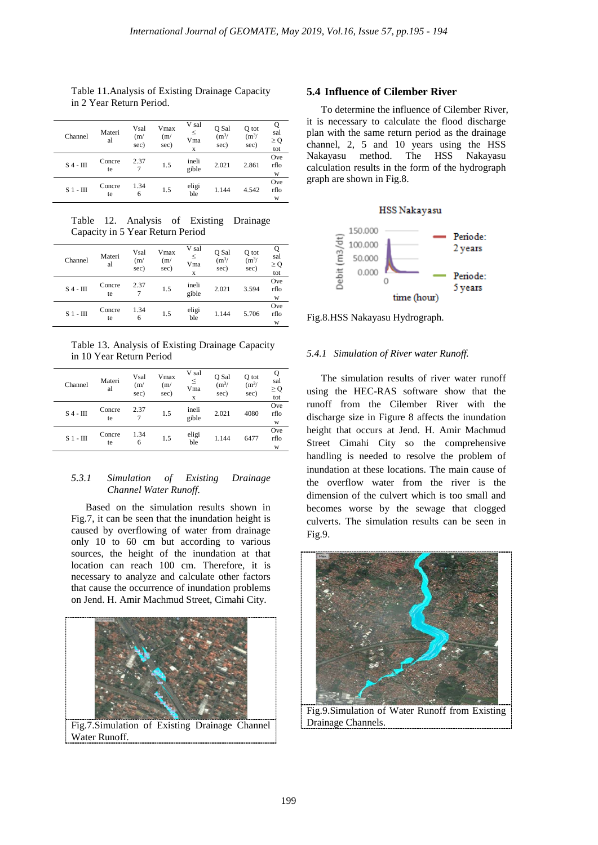Table 11.Analysis of Existing Drainage Capacity in 2 Year Return Period.

| Channel       | Materi<br>al | Vsal<br>(m/<br>sec) | Vmax<br>(m/<br>sec) | V sal<br>$\leq$<br>Vma<br>X | Q Sal<br>$(m^3)$<br>sec) | Q tot<br>$(m^3)$<br>sec) | Q<br>sal<br>$\geq$ Q<br>tot |
|---------------|--------------|---------------------|---------------------|-----------------------------|--------------------------|--------------------------|-----------------------------|
| $S$ 4 - $III$ | Concre<br>te | 2.37                | 1.5                 | ineli<br>gible              | 2.021                    | 2.861                    | Ove<br>rflo<br>W            |
| $S_1$ - $III$ | Concre<br>te | 1.34<br>6           | 1.5                 | eligi<br>ble                | 1.144                    | 4.542                    | Ove<br>rflo<br>W            |

Table 12. Analysis of Existing Drainage Capacity in 5 Year Return Period

| Channel       | Materi<br>al | Vsal<br>(m/<br>sec) | Vmax<br>(m/<br>sec) | V sal<br>≤<br>Vma<br>x | Q Sal<br>$(m^3)$<br>sec) | Q tot<br>$(m^3)$<br>sec) | sal<br>$\geq Q$<br>tot |
|---------------|--------------|---------------------|---------------------|------------------------|--------------------------|--------------------------|------------------------|
| $S$ 4 - $III$ | Concre<br>te | 2.37                | 1.5                 | ineli<br>gible         | 2.021                    | 3.594                    | Ove<br>rflo<br>W       |
| $S_1$ - $III$ | Concre<br>te | 1.34<br>6           | 1.5                 | eligi<br>ble           | 1.144                    | 5.706                    | Ove<br>rflo<br>W       |

Table 13. Analysis of Existing Drainage Capacity in 10 Year Return Period

| Channel       | Materi<br>al | Vsal<br>(m/<br>sec) | Vmax<br>(m/<br>sec) | V sal<br>≤<br>Vma<br>X | O Sal<br>$(m^3)$<br>sec) | Q tot<br>$(m^3)$<br>sec) | Q<br>sal<br>$\geq$ Q<br>tot |
|---------------|--------------|---------------------|---------------------|------------------------|--------------------------|--------------------------|-----------------------------|
| $S$ 4 - $III$ | Concre<br>te | 2.37                | 1.5                 | ineli<br>gible         | 2.021                    | 4080                     | Ove<br>rflo<br>W            |
| $S1$ - $III$  | Concre<br>te | 1.34<br>6           | 1.5                 | eligi<br>ble           | 1.144                    | 6477                     | Ove<br>rflo<br>W            |

### *5.3.1 Simulation of Existing Drainage Channel Water Runoff.*

Based on the simulation results shown in Fig.7, it can be seen that the inundation height is caused by overflowing of water from drainage only 10 to 60 cm but according to various sources, the height of the inundation at that location can reach 100 cm. Therefore, it is necessary to analyze and calculate other factors that cause the occurrence of inundation problems on Jend. H. Amir Machmud Street, Cimahi City.



#### **5.4 Influence of Cilember River**

To determine the influence of Cilember River, it is necessary to calculate the flood discharge plan with the same return period as the drainage channel, 2, 5 and 10 years using the HSS Nakayasu method. The HSS Nakayasu calculation results in the form of the hydrograph graph are shown in Fig.8.

#### **HSS Nakayasu**



Fig.8.HSS Nakayasu Hydrograph.

#### *5.4.1 Simulation of River water Runoff.*

The simulation results of river water runoff using the HEC-RAS software show that the runoff from the Cilember River with the discharge size in Figure 8 affects the inundation height that occurs at Jend. H. Amir Machmud Street Cimahi City so the comprehensive handling is needed to resolve the problem of inundation at these locations. The main cause of the overflow water from the river is the dimension of the culvert which is too small and becomes worse by the sewage that clogged culverts. The simulation results can be seen in Fig.9.